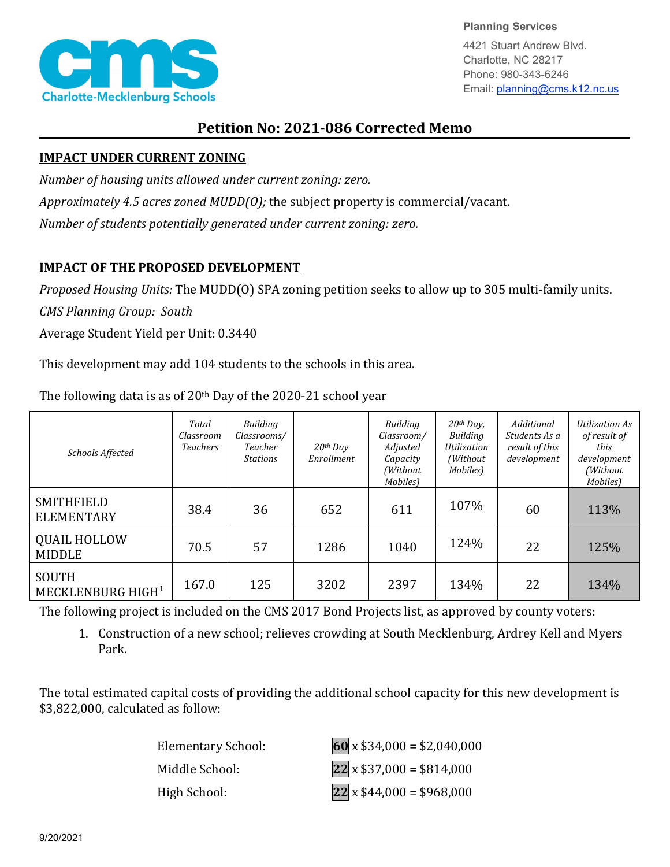

**Planning Services** 4421 Stuart Andrew Blvd. Charlotte, NC 28217 Phone: 980-343-6246

Email: planning@cms.k12.nc.us

## **Petition No: 2021-086 Corrected Memo**

## **IMPACT UNDER CURRENT ZONING**

*Number of housing units allowed under current zoning: zero.*

*Approximately 4.5 acres zoned MUDD(O);* the subject property is commercial/vacant.

*Number of students potentially generated under current zoning: zero.*

## **IMPACT OF THE PROPOSED DEVELOPMENT**

*Proposed Housing Units:* The MUDD(O) SPA zoning petition seeks to allow up to 305 multi-family units.

*CMS Planning Group: South*

Average Student Yield per Unit: 0.3440

This development may add 104 students to the schools in this area.

| Schools Affected                       | Total<br>Classroom<br><b>Teachers</b> | Building<br>Classrooms/<br>Teacher<br>Stations | $20$ <sup>th</sup> Day<br>Enrollment | Building<br>Classroom/<br>Adjusted<br>Capacity<br>(Without)<br>Mobiles) | $20th$ Day,<br>Building<br>Utilization<br>(Without)<br>Mobiles) | Additional<br>Students As a<br>result of this<br>development | <b>Utilization As</b><br>of result of<br>this<br>development<br>(Without)<br>Mobiles) |
|----------------------------------------|---------------------------------------|------------------------------------------------|--------------------------------------|-------------------------------------------------------------------------|-----------------------------------------------------------------|--------------------------------------------------------------|---------------------------------------------------------------------------------------|
| SMITHFIELD<br><b>ELEMENTARY</b>        | 38.4                                  | 36                                             | 652                                  | 611                                                                     | 107%                                                            | 60                                                           | 113%                                                                                  |
| <b>QUAIL HOLLOW</b><br><b>MIDDLE</b>   | 70.5                                  | 57                                             | 1286                                 | 1040                                                                    | 124%                                                            | 22                                                           | 125%                                                                                  |
| SOUTH<br>MECKLENBURG HIGH <sup>1</sup> | 167.0                                 | 125                                            | 3202                                 | 2397                                                                    | 134%                                                            | 22                                                           | 134%                                                                                  |

The following data is as of 20th Day of the 2020-21 school year

The following project is included on the CMS 2017 Bond Projects list, as approved by county voters:

1. Construction of a new school; relieves crowding at South Mecklenburg, Ardrey Kell and Myers Park.

The total estimated capital costs of providing the additional school capacity for this new development is \$3,822,000, calculated as follow:

Elementary School: **60** x \$34,000 = \$2,040,000 Middle School: **22** x \$37,000 = \$814,000 High School: **22** x \$44,000 = \$968,000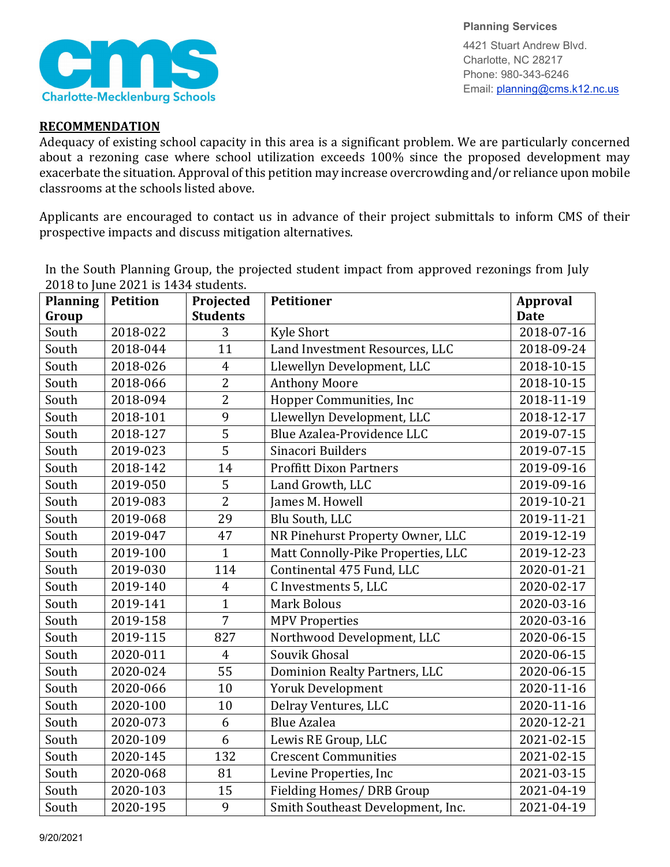

**Planning Services** 4421 Stuart Andrew Blvd. Charlotte, NC 28217 Phone: 980-343-6246 Email: planning@cms.k12.nc.us

## **RECOMMENDATION**

Adequacy of existing school capacity in this area is a significant problem. We are particularly concerned about a rezoning case where school utilization exceeds 100% since the proposed development may exacerbate the situation. Approval of this petition may increase overcrowding and/or reliance upon mobile classrooms at the schools listed above.

Applicants are encouraged to contact us in advance of their project submittals to inform CMS of their prospective impacts and discuss mitigation alternatives.

In the South Planning Group, the projected student impact from approved rezonings from July 2018 to June 2021 is 1434 students.

| <b>Planning</b> | <b>Petition</b> | Projected       | <b>Petitioner</b>                  | <b>Approval</b> |
|-----------------|-----------------|-----------------|------------------------------------|-----------------|
| Group           |                 | <b>Students</b> |                                    | <b>Date</b>     |
| South           | 2018-022        | 3               | <b>Kyle Short</b>                  | 2018-07-16      |
| South           | 2018-044        | 11              | Land Investment Resources, LLC     | 2018-09-24      |
| South           | 2018-026        | $\overline{4}$  | Llewellyn Development, LLC         | 2018-10-15      |
| South           | 2018-066        | $\overline{2}$  | <b>Anthony Moore</b>               | 2018-10-15      |
| South           | 2018-094        | $\overline{2}$  | Hopper Communities, Inc            | 2018-11-19      |
| South           | 2018-101        | 9               | Llewellyn Development, LLC         | 2018-12-17      |
| South           | 2018-127        | $\overline{5}$  | Blue Azalea-Providence LLC         | 2019-07-15      |
| South           | 2019-023        | $\overline{5}$  | Sinacori Builders                  | 2019-07-15      |
| South           | 2018-142        | 14              | <b>Proffitt Dixon Partners</b>     | 2019-09-16      |
| South           | 2019-050        | 5               | Land Growth, LLC                   | 2019-09-16      |
| South           | 2019-083        | $\overline{2}$  | James M. Howell                    | 2019-10-21      |
| South           | 2019-068        | 29              | Blu South, LLC                     | 2019-11-21      |
| South           | 2019-047        | 47              | NR Pinehurst Property Owner, LLC   | 2019-12-19      |
| South           | 2019-100        | $\mathbf{1}$    | Matt Connolly-Pike Properties, LLC | 2019-12-23      |
| South           | 2019-030        | 114             | Continental 475 Fund, LLC          | 2020-01-21      |
| South           | 2019-140        | $\overline{4}$  | C Investments 5, LLC               | 2020-02-17      |
| South           | 2019-141        | $\mathbf{1}$    | <b>Mark Bolous</b>                 | 2020-03-16      |
| South           | 2019-158        | $\overline{7}$  | <b>MPV Properties</b>              | 2020-03-16      |
| South           | 2019-115        | 827             | Northwood Development, LLC         | 2020-06-15      |
| South           | 2020-011        | $\overline{4}$  | Souvik Ghosal                      | 2020-06-15      |
| South           | 2020-024        | 55              | Dominion Realty Partners, LLC      | 2020-06-15      |
| South           | 2020-066        | 10              | <b>Yoruk Development</b>           | 2020-11-16      |
| South           | 2020-100        | 10              | Delray Ventures, LLC               | 2020-11-16      |
| South           | 2020-073        | 6               | <b>Blue Azalea</b>                 | 2020-12-21      |
| South           | 2020-109        | 6               | Lewis RE Group, LLC                | 2021-02-15      |
| South           | 2020-145        | 132             | <b>Crescent Communities</b>        | 2021-02-15      |
| South           | 2020-068        | 81              | Levine Properties, Inc             | 2021-03-15      |
| South           | 2020-103        | 15              | Fielding Homes/ DRB Group          | 2021-04-19      |
| South           | 2020-195        | 9               | Smith Southeast Development, Inc.  | 2021-04-19      |